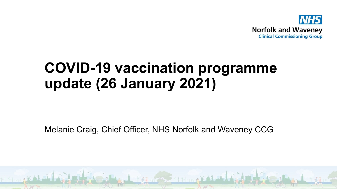

### **COVID-19 vaccination programme update (26 January 2021)**

Melanie Craig, Chief Officer, NHS Norfolk and Waveney CCG

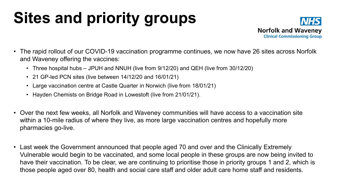# **Sites and priority groups**



- The rapid rollout of our COVID-19 vaccination programme continues, we now have 26 sites across Norfolk and Waveney offering the vaccines:
	- Three hospital hubs JPUH and NNUH (live from 9/12/20) and QEH (live from 30/12/20)
	- 21 GP-led PCN sites (live between 14/12/20 and 16/01/21)
	- Large vaccination centre at Castle Quarter in Norwich (live from 18/01/21)
	- Hayden Chemists on Bridge Road in Lowestoft (live from 21/01/21).
- Over the next few weeks, all Norfolk and Waveney communities will have access to a vaccination site within a 10-mile radius of where they live, as more large vaccination centres and hopefully more pharmacies go-live.
- Last week the Government announced that people aged 70 and over and the Clinically Extremely Vulnerable would begin to be vaccinated, and some local people in these groups are now being invited to have their vaccination. To be clear, we are continuing to prioritise those in priority groups 1 and 2, which is those people aged over 80, health and social care staff and older adult care home staff and residents.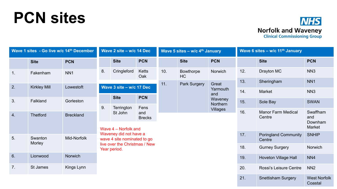## **PCN sites**



| Wave 1 sites - Go live w/c 14th December |                     |                  | Wave 2 site - w/c 14 Dec                                |                                                       |                                                        | Wave 5 sites - $w/c$ 4 <sup>th</sup> January |                        |                                        | Wave 6 sites - w/c 11 <sup>th</sup> January |                                       |                                             |
|------------------------------------------|---------------------|------------------|---------------------------------------------------------|-------------------------------------------------------|--------------------------------------------------------|----------------------------------------------|------------------------|----------------------------------------|---------------------------------------------|---------------------------------------|---------------------------------------------|
|                                          | <b>Site</b>         | <b>PCN</b>       |                                                         | <b>Site</b>                                           | <b>PCN</b>                                             |                                              | <b>Site</b>            | <b>PCN</b>                             |                                             | <b>Site</b>                           | <b>PCN</b>                                  |
| 1.                                       | Fakenham            | NN <sub>1</sub>  | 8.                                                      | Cringleford                                           | Ketts<br>Oak                                           | 10.                                          | <b>Bowthorpe</b><br>HC | Norwich                                | 12.                                         | Drayton MC                            | NN <sub>3</sub>                             |
|                                          |                     |                  |                                                         |                                                       | 11.<br><b>Park Surgery</b><br>Great<br>Yarmouth<br>and | 13.                                          | Sheringham             | NN <sub>1</sub>                        |                                             |                                       |                                             |
| 2.                                       | <b>Kirkley Mill</b> | Lowestoft        | Wave 3 site - w/c 17 Dec                                |                                                       |                                                        |                                              |                        | 14.                                    | Market                                      | NN <sub>3</sub>                       |                                             |
| 3.                                       | Falkland            | Gorleston        |                                                         | <b>Site</b>                                           | <b>PCN</b>                                             |                                              |                        | Waveney<br>Northern<br><b>Villages</b> | 15.                                         | Sole Bay                              | <b>SWAN</b>                                 |
|                                          |                     |                  | 9.                                                      | Terrington                                            | Fens                                                   |                                              |                        |                                        |                                             |                                       |                                             |
| 4.                                       | <b>Thetford</b>     | <b>Breckland</b> | St John<br>and<br><b>Brecks</b><br>Wave 4 – Norfolk and |                                                       |                                                        |                                              |                        |                                        | 16.                                         | <b>Manor Farm Medical</b><br>Centre   | Swaffham<br>and<br>Downham<br><b>Market</b> |
| 5 <sub>1</sub>                           | Swanton             | Mid-Norfolk      |                                                         | Waveney did not have a<br>wave 4 site nominated to go |                                                        |                                              |                        |                                        | 17.                                         | <b>Poringland Community</b><br>Centre | <b>SNHIP</b>                                |
|                                          | Morley              |                  | live over the Christmas / New<br>Year period.           |                                                       |                                                        |                                              |                        |                                        |                                             | <b>Gurney Surgery</b>                 | Norwich                                     |
| 6.                                       | Lionwood            | Norwich          |                                                         |                                                       |                                                        |                                              |                        |                                        | 19.                                         | <b>Hoveton Village Hall</b>           | NN4                                         |
| 7.                                       | St James            | Kings Lynn       |                                                         |                                                       |                                                        |                                              |                        |                                        | 20.                                         | Rossi's Leisure Centre                | NN <sub>2</sub>                             |
|                                          |                     |                  |                                                         |                                                       |                                                        |                                              |                        |                                        | 21.                                         | <b>Snettisham Surgery</b>             | <b>West Norfolk</b><br>Coastal              |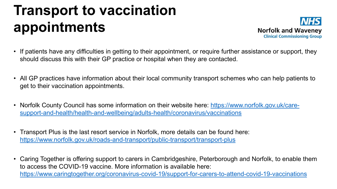### **Transport to vaccination appointments**



- If patients have any difficulties in getting to their appointment, or require further assistance or support, they should discuss this with their GP practice or hospital when they are contacted.
- All GP practices have information about their local community transport schemes who can help patients to get to their vaccination appointments.
- [Norfolk County Council has some information on their website here: https://www.norfolk.gov.uk/care](https://www.norfolk.gov.uk/care-support-and-health/health-and-wellbeing/adults-health/coronavirus/vaccinations)support-and-health/health-and-wellbeing/adults-health/coronavirus/vaccinations
- Transport Plus is the last resort service in Norfolk, more details can be found here: <https://www.norfolk.gov.uk/roads-and-transport/public-transport/transport-plus>
- Caring Together is offering support to carers in Cambridgeshire, Peterborough and Norfolk, to enable them to access the COVID-19 vaccine. More information is available here: <https://www.caringtogether.org/coronavirus-covid-19/support-for-carers-to-attend-covid-19-vaccinations>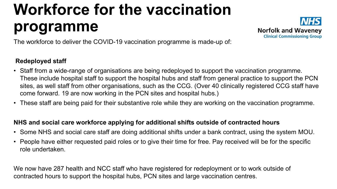# **Workforce for the vaccination programme**



The workforce to deliver the COVID-19 vaccination programme is made-up of:

#### **Redeployed staff**

- Staff from a wide-range of organisations are being redeployed to support the vaccination programme. These include hospital staff to support the hospital hubs and staff from general practice to support the PCN sites, as well staff from other organisations, such as the CCG. (Over 40 clinically registered CCG staff have come forward. 19 are now working in the PCN sites and hospital hubs.)
- These staff are being paid for their substantive role while they are working on the vaccination programme.

#### **NHS and social care workforce applying for additional shifts outside of contracted hours**

- Some NHS and social care staff are doing additional shifts under a bank contract, using the system MOU.
- People have either requested paid roles or to give their time for free. Pay received will be for the specific role undertaken.

We now have 287 health and NCC staff who have registered for redeployment or to work outside of contracted hours to support the hospital hubs, PCN sites and large vaccination centres.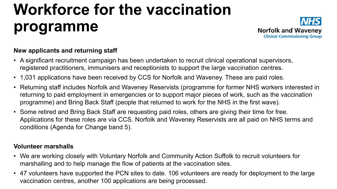# **Workforce for the vaccination programme**



#### **New applicants and returning staff**

- A significant recruitment campaign has been undertaken to recruit clinical operational supervisors, registered practitioners, immunisers and receptionists to support the large vaccination centres.
- 1,031 applications have been received by CCS for Norfolk and Waveney. These are paid roles.
- Returning staff includes Norfolk and Waveney Reservists (programme for former NHS workers interested in returning to paid employment in emergencies or to support major pieces of work, such as the vaccination programme) and Bring Back Staff (people that returned to work for the NHS in the first wave).
- Some retired and Bring Back Staff are requesting paid roles, others are giving their time for free. Applications for these roles are via CCS. Norfolk and Waveney Reservists are all paid on NHS terms and conditions (Agenda for Change band 5).

#### **Volunteer marshalls**

- We are working closely with Voluntary Norfolk and Community Action Suffolk to recruit volunteers for marshalling and to help manage the flow of patients at the vaccination sites.
- 47 volunteers have supported the PCN sites to date. 106 volunteers are ready for deployment to the large vaccination centres, another 100 applications are being processed.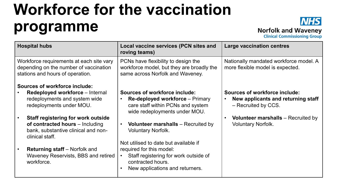## **Workforce for the vaccination programme**



**Norfolk and Waveney** 

**Clinical Commissioning Group** 

| <b>Hospital hubs</b>                                                                                                   | <b>Local vaccine services (PCN sites and</b><br>roving teams)                                                        | <b>Large vaccination centres</b>                                           |  |  |  |
|------------------------------------------------------------------------------------------------------------------------|----------------------------------------------------------------------------------------------------------------------|----------------------------------------------------------------------------|--|--|--|
| Workforce requirements at each site vary<br>depending on the number of vaccination<br>stations and hours of operation. | PCNs have flexibility to design the<br>workforce model, but they are broadly the<br>same across Norfolk and Waveney. | Nationally mandated workforce model. A<br>more flexible model is expected. |  |  |  |
| <b>Sources of workforce include:</b>                                                                                   |                                                                                                                      |                                                                            |  |  |  |
| Redeployed workforce – Internal                                                                                        | <b>Sources of workforce include:</b>                                                                                 | <b>Sources of workforce include:</b>                                       |  |  |  |
| redeployments and system wide<br>redeployments under MOU.                                                              | <b>Re-deployed workforce - Primary</b><br>care staff within PCNs and system<br>wide redeployments under MOU.         | New applicants and returning staff<br>- Recruited by CCS.                  |  |  |  |
| <b>Staff registering for work outside</b>                                                                              |                                                                                                                      | <b>Volunteer marshalls</b> – Recruited by                                  |  |  |  |
| of contracted hours - Including<br>bank, substantive clinical and non-<br>clinical staff.                              | <b>Volunteer marshalls</b> – Recruited by<br><b>Voluntary Norfolk.</b>                                               | <b>Voluntary Norfolk.</b>                                                  |  |  |  |
|                                                                                                                        | Not utilised to date but available if                                                                                |                                                                            |  |  |  |
| <b>Returning staff</b> – Norfolk and                                                                                   | required for this model:                                                                                             |                                                                            |  |  |  |
| Waveney Reservists, BBS and retired<br>workforce.                                                                      | Staff registering for work outside of<br>contracted hours.                                                           |                                                                            |  |  |  |
|                                                                                                                        | New applications and returners.                                                                                      |                                                                            |  |  |  |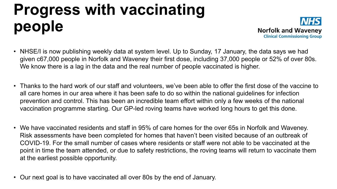# **Progress with vaccinating people**



- NHSE/I is now publishing weekly data at system level. Up to Sunday, 17 January, the data says we had given c67,000 people in Norfolk and Waveney their first dose, including 37,000 people or 52% of over 80s. We know there is a lag in the data and the real number of people vaccinated is higher.
- Thanks to the hard work of our staff and volunteers, we've been able to offer the first dose of the vaccine to all care homes in our area where it has been safe to do so within the national guidelines for infection prevention and control. This has been an incredible team effort within only a few weeks of the national vaccination programme starting. Our GP-led roving teams have worked long hours to get this done.
- We have vaccinated residents and staff in 95% of care homes for the over 65s in Norfolk and Waveney. Risk assessments have been completed for homes that haven't been visited because of an outbreak of COVID-19. For the small number of cases where residents or staff were not able to be vaccinated at the point in time the team attended, or due to safety restrictions, the roving teams will return to vaccinate them at the earliest possible opportunity.
- Our next goal is to have vaccinated all over 80s by the end of January.